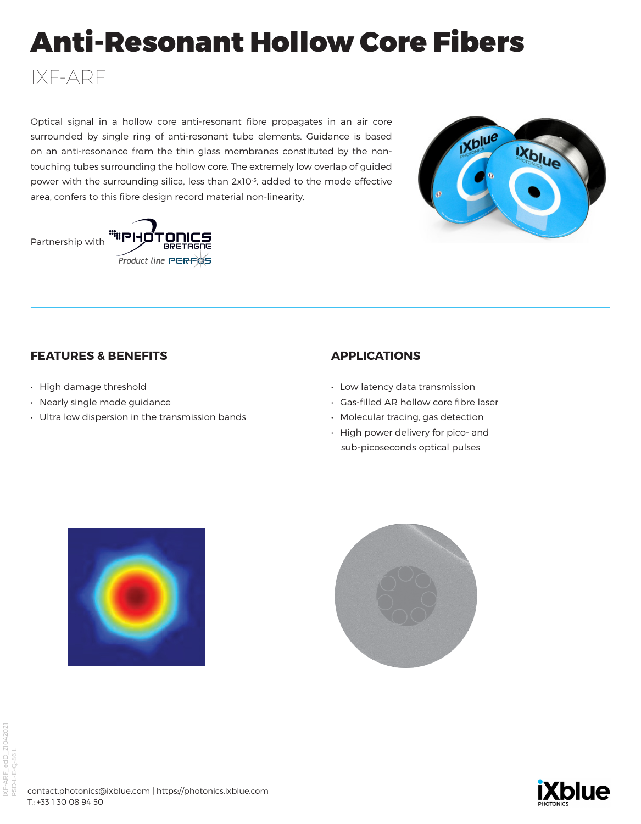# Anti-Resonant Hollow Core Fibers

Optical signal in a hollow core anti-resonant fibre propagates in an air core surrounded by single ring of anti-resonant tube elements. Guidance is based on an anti-resonance from the thin glass membranes constituted by the nontouching tubes surrounding the hollow core. The extremely low overlap of guided power with the surrounding silica, less than 2x10-5, added to the mode effective area, confers to this fibre design record material non-linearity.





## **FEATURES & BENEFITS**

• High damage threshold

IXF-ARF

- Nearly single mode guidance
- Ultra low dispersion in the transmission bands

## **APPLICATIONS**

- Low latency data transmission
- Gas-filled AR hollow core fibre laser
- Molecular tracing, gas detection
- High power delivery for pico- and sub-picoseconds optical pulses